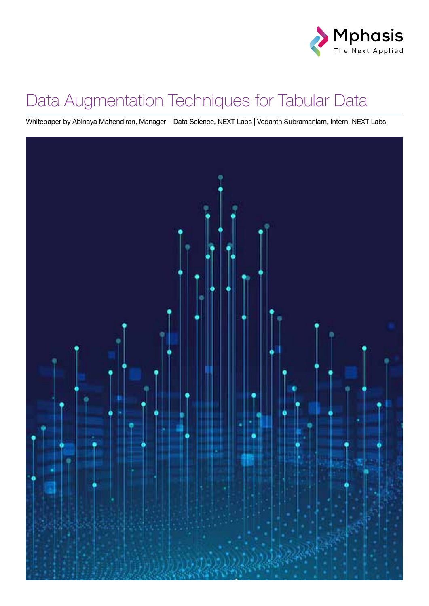

## Data Augmentation Techniques for Tabular Data

Whitepaper by Abinaya Mahendiran, Manager – Data Science, NEXT Labs | Vedanth Subramaniam, Intern, NEXT Labs

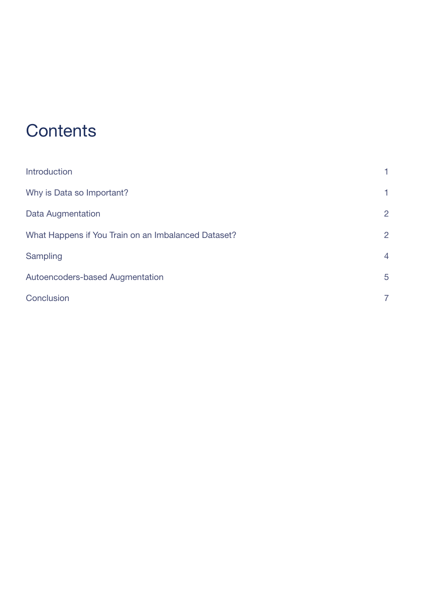## **Contents**

| <b>Introduction</b>                                 | 1              |
|-----------------------------------------------------|----------------|
| Why is Data so Important?                           | 1              |
| <b>Data Augmentation</b>                            | $\overline{2}$ |
| What Happens if You Train on an Imbalanced Dataset? | $\overline{2}$ |
| Sampling                                            | $\overline{4}$ |
| <b>Autoencoders-based Augmentation</b>              | 5              |
| Conclusion                                          | 7              |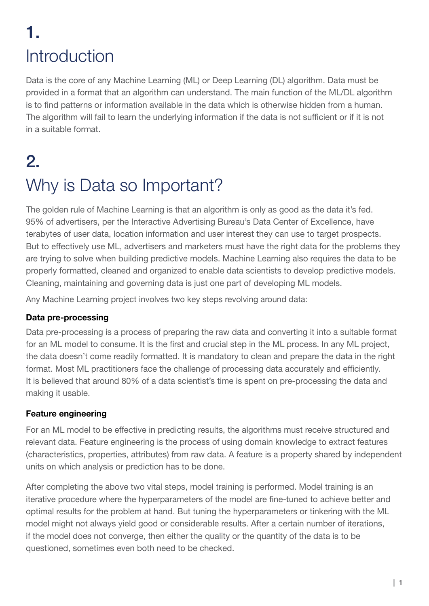## 1. Introduction

Data is the core of any Machine Learning (ML) or Deep Learning (DL) algorithm. Data must be provided in a format that an algorithm can understand. The main function of the ML/DL algorithm is to find patterns or information available in the data which is otherwise hidden from a human. The algorithm will fail to learn the underlying information if the data is not sufficient or if it is not in a suitable format.

## 2. Why is Data so Important?

The golden rule of Machine Learning is that an algorithm is only as good as the data it's fed. 95% of advertisers, per the Interactive Advertising Bureau's Data Center of Excellence, have terabytes of user data, location information and user interest they can use to target prospects. But to effectively use ML, advertisers and marketers must have the right data for the problems they are trying to solve when building predictive models. Machine Learning also requires the data to be properly formatted, cleaned and organized to enable data scientists to develop predictive models. Cleaning, maintaining and governing data is just one part of developing ML models.

Any Machine Learning project involves two key steps revolving around data:

#### Data pre-processing

Data pre-processing is a process of preparing the raw data and converting it into a suitable format for an ML model to consume. It is the first and crucial step in the ML process. In any ML project, the data doesn't come readily formatted. It is mandatory to clean and prepare the data in the right format. Most ML practitioners face the challenge of processing data accurately and efficiently. It is believed that around 80% of a data scientist's time is spent on pre-processing the data and making it usable.

#### Feature engineering

For an ML model to be effective in predicting results, the algorithms must receive structured and relevant data. Feature engineering is the process of using domain knowledge to extract features (characteristics, properties, attributes) from raw data. A feature is a property shared by independent units on which analysis or prediction has to be done.

After completing the above two vital steps, model training is performed. Model training is an iterative procedure where the hyperparameters of the model are fine-tuned to achieve better and optimal results for the problem at hand. But tuning the hyperparameters or tinkering with the ML model might not always yield good or considerable results. After a certain number of iterations, if the model does not converge, then either the quality or the quantity of the data is to be questioned, sometimes even both need to be checked.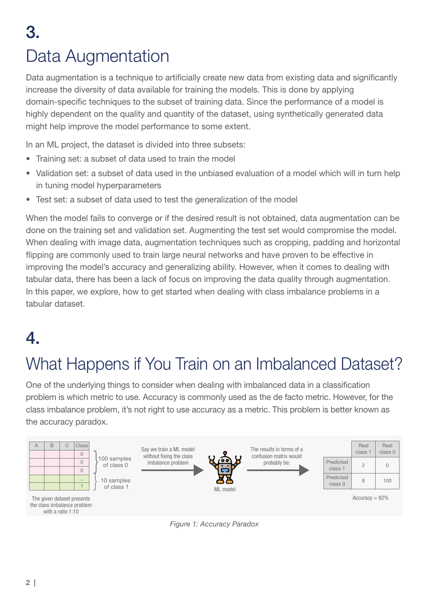## 3. Data Augmentation

Data augmentation is a technique to artificially create new data from existing data and significantly increase the diversity of data available for training the models. This is done by applying domain-specific techniques to the subset of training data. Since the performance of a model is highly dependent on the quality and quantity of the dataset, using synthetically generated data might help improve the model performance to some extent.

In an ML project, the dataset is divided into three subsets:

- Training set: a subset of data used to train the model
- Validation set: a subset of data used in the unbiased evaluation of a model which will in turn help in tuning model hyperparameters
- Test set: a subset of data used to test the generalization of the model

When the model fails to converge or if the desired result is not obtained, data augmentation can be done on the training set and validation set. Augmenting the test set would compromise the model. When dealing with image data, augmentation techniques such as cropping, padding and horizontal flipping are commonly used to train large neural networks and have proven to be effective in improving the model's accuracy and generalizing ability. However, when it comes to dealing with tabular data, there has been a lack of focus on improving the data quality through augmentation. In this paper, we explore, how to get started when dealing with class imbalance problems in a tabular dataset.

## 4.

## What Happens if You Train on an Imbalanced Dataset?

One of the underlying things to consider when dealing with imbalanced data in a classification problem is which metric to use. Accuracy is commonly used as the de facto metric. However, for the class imbalance problem, it's not right to use accuracy as a metric. This problem is better known as the accuracy paradox.



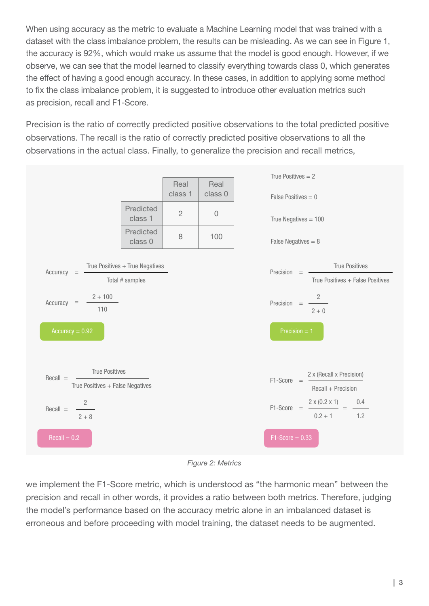When using accuracy as the metric to evaluate a Machine Learning model that was trained with a dataset with the class imbalance problem, the results can be misleading. As we can see in Figure 1, the accuracy is 92%, which would make us assume that the model is good enough. However, if we observe, we can see that the model learned to classify everything towards class 0, which generates the effect of having a good enough accuracy. In these cases, in addition to applying some method to fix the class imbalance problem, it is suggested to introduce other evaluation metrics such as precision, recall and F1-Score.

Precision is the ratio of correctly predicted positive observations to the total predicted positive observations. The recall is the ratio of correctly predicted positive observations to all the observations in the actual class. Finally, to generalize the precision and recall metrics,



*Figure 2: Metrics*

we implement the F1-Score metric, which is understood as "the harmonic mean" between the precision and recall in other words, it provides a ratio between both metrics. Therefore, judging the model's performance based on the accuracy metric alone in an imbalanced dataset is erroneous and before proceeding with model training, the dataset needs to be augmented.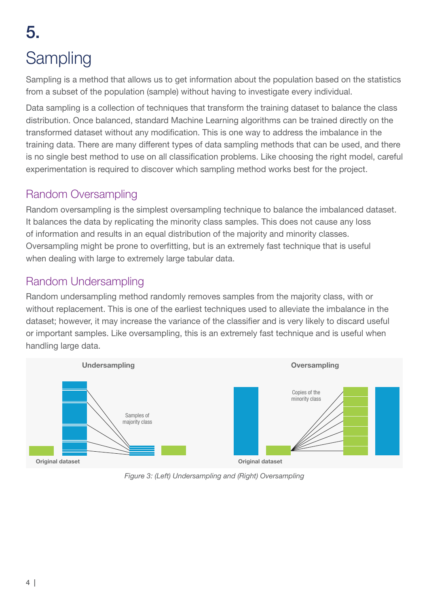## 5. **Sampling**

Sampling is a method that allows us to get information about the population based on the statistics from a subset of the population (sample) without having to investigate every individual.

Data sampling is a collection of techniques that transform the training dataset to balance the class distribution. Once balanced, standard Machine Learning algorithms can be trained directly on the transformed dataset without any modification. This is one way to address the imbalance in the training data. There are many different types of data sampling methods that can be used, and there is no single best method to use on all classification problems. Like choosing the right model, careful experimentation is required to discover which sampling method works best for the project.

#### Random Oversampling

Random oversampling is the simplest oversampling technique to balance the imbalanced dataset. It balances the data by replicating the minority class samples. This does not cause any loss of information and results in an equal distribution of the majority and minority classes. Oversampling might be prone to overfitting, but is an extremely fast technique that is useful when dealing with large to extremely large tabular data.

#### Random Undersampling

Random undersampling method randomly removes samples from the majority class, with or without replacement. This is one of the earliest techniques used to alleviate the imbalance in the dataset; however, it may increase the variance of the classifier and is very likely to discard useful or important samples. Like oversampling, this is an extremely fast technique and is useful when handling large data.



*Figure 3: (Left) Undersampling and (Right) Oversampling*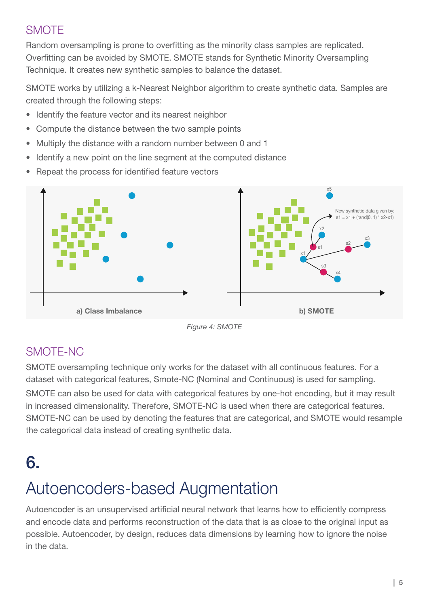### **SMOTE**

Random oversampling is prone to overfitting as the minority class samples are replicated. Overfitting can be avoided by SMOTE. SMOTE stands for Synthetic Minority Oversampling Technique. It creates new synthetic samples to balance the dataset.

SMOTE works by utilizing a k-Nearest Neighbor algorithm to create synthetic data. Samples are created through the following steps:

- Identify the feature vector and its nearest neighbor
- Compute the distance between the two sample points
- Multiply the distance with a random number between 0 and 1
- Identify a new point on the line segment at the computed distance
- Repeat the process for identified feature vectors



*Figure 4: SMOTE*

#### SMOTE-NC

SMOTE oversampling technique only works for the dataset with all continuous features. For a dataset with categorical features, Smote-NC (Nominal and Continuous) is used for sampling. SMOTE can also be used for data with categorical features by one-hot encoding, but it may result in increased dimensionality. Therefore, SMOTE-NC is used when there are categorical features. SMOTE-NC can be used by denoting the features that are categorical, and SMOTE would resample the categorical data instead of creating synthetic data.

## 6.

## Autoencoders-based Augmentation

Autoencoder is an unsupervised artificial neural network that learns how to efficiently compress and encode data and performs reconstruction of the data that is as close to the original input as possible. Autoencoder, by design, reduces data dimensions by learning how to ignore the noise in the data.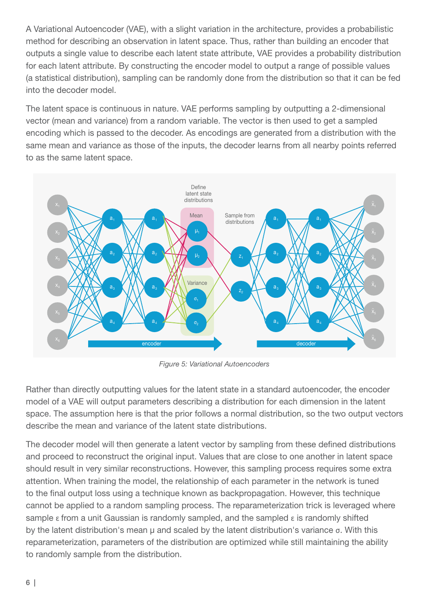A Variational Autoencoder (VAE), with a slight variation in the architecture, provides a probabilistic method for describing an observation in latent space. Thus, rather than building an encoder that outputs a single value to describe each latent state attribute, VAE provides a probability distribution for each latent attribute. By constructing the encoder model to output a range of possible values (a statistical distribution), sampling can be randomly done from the distribution so that it can be fed into the decoder model.

The latent space is continuous in nature. VAE performs sampling by outputting a 2-dimensional vector (mean and variance) from a random variable. The vector is then used to get a sampled encoding which is passed to the decoder. As encodings are generated from a distribution with the same mean and variance as those of the inputs, the decoder learns from all nearby points referred to as the same latent space.



*Figure 5: Variational Autoencoders*

Rather than directly outputting values for the latent state in a standard autoencoder, the encoder model of a VAE will output parameters describing a distribution for each dimension in the latent space. The assumption here is that the prior follows a normal distribution, so the two output vectors describe the mean and variance of the latent state distributions.

The decoder model will then generate a latent vector by sampling from these defined distributions and proceed to reconstruct the original input. Values that are close to one another in latent space should result in very similar reconstructions. However, this sampling process requires some extra attention. When training the model, the relationship of each parameter in the network is tuned to the final output loss using a technique known as backpropagation. However, this technique cannot be applied to a random sampling process. The reparameterization trick is leveraged where sample  $\epsilon$  from a unit Gaussian is randomly sampled, and the sampled  $\epsilon$  is randomly shifted by the latent distribution's mean μ and scaled by the latent distribution's variance σ. With this reparameterization, parameters of the distribution are optimized while still maintaining the ability to randomly sample from the distribution.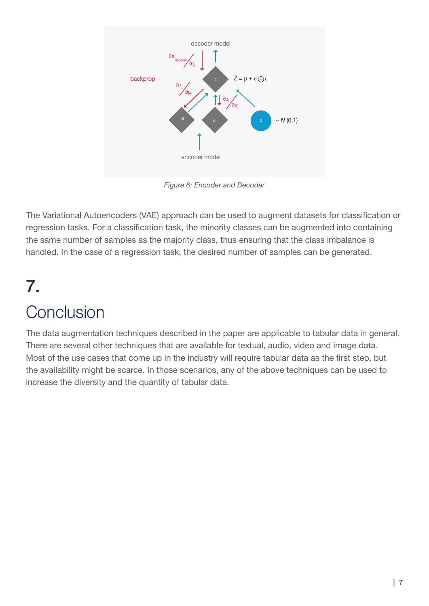

*Figure 6: Encoder and Decoder*

The Variational Autoencoders (VAE) approach can be used to augment datasets for classification or regression tasks. For a classification task, the minority classes can be augmented into containing the same number of samples as the majority class, thus ensuring that the class imbalance is handled. In the case of a regression task, the desired number of samples can be generated.

# 7.

## **Conclusion**

The data augmentation techniques described in the paper are applicable to tabular data in general. There are several other techniques that are available for textual, audio, video and image data. Most of the use cases that come up in the industry will require tabular data as the first step, but the availability might be scarce. In those scenarios, any of the above techniques can be used to increase the diversity and the quantity of tabular data.